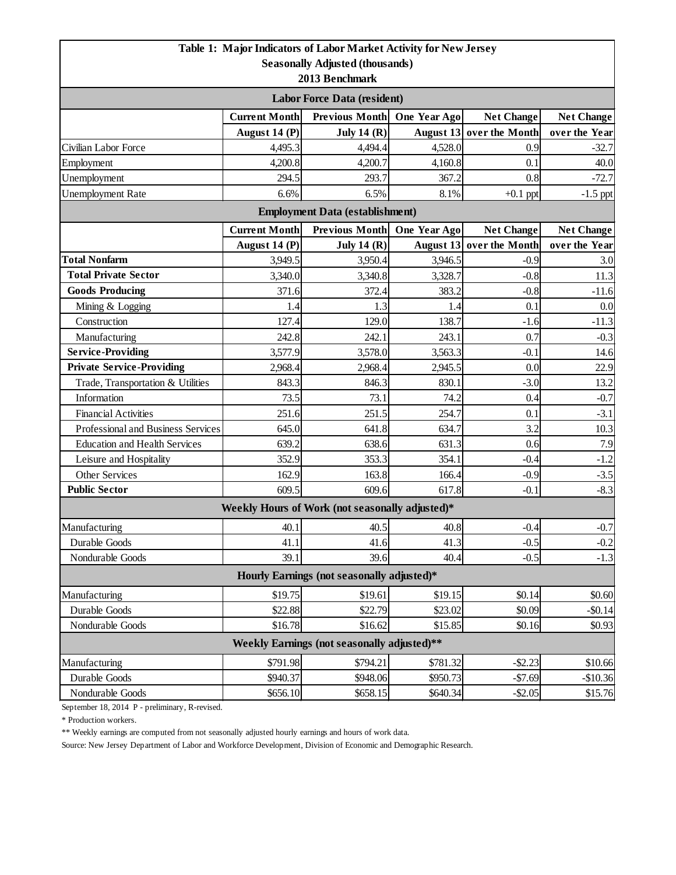| Table 1: Major Indicators of Labor Market Activity for New Jersey                                       |               |                                                 |                  |                |               |  |  |  |
|---------------------------------------------------------------------------------------------------------|---------------|-------------------------------------------------|------------------|----------------|---------------|--|--|--|
| <b>Seasonally Adjusted (thousands)</b>                                                                  |               |                                                 |                  |                |               |  |  |  |
| 2013 Benchmark                                                                                          |               |                                                 |                  |                |               |  |  |  |
|                                                                                                         |               | <b>Labor Force Data (resident)</b>              |                  |                |               |  |  |  |
| <b>Current Month</b><br><b>Previous Month</b><br>One Year Ago<br><b>Net Change</b>                      |               |                                                 |                  |                |               |  |  |  |
|                                                                                                         | August 14 (P) | July 14 $(R)$                                   | <b>August 13</b> | over the Month | over the Year |  |  |  |
| Civilian Labor Force                                                                                    | 4,495.3       | 4,494.4                                         | 4,528.0          | 0.9            | $-32.7$       |  |  |  |
| Employment                                                                                              | 4,200.8       | 4,200.7                                         | 4,160.8          | 0.1            | 40.0          |  |  |  |
| Unemployment                                                                                            | 294.5         | 293.7                                           | 367.2            | 0.8            | $-72.7$       |  |  |  |
| <b>Unemployment Rate</b>                                                                                | 6.6%          | 6.5%                                            | 8.1%             | $+0.1$ ppt     | $-1.5$ ppt    |  |  |  |
| <b>Employment Data (establishment)</b>                                                                  |               |                                                 |                  |                |               |  |  |  |
| <b>Current Month</b><br><b>Previous Month</b><br><b>Net Change</b><br><b>Net Change</b><br>One Year Ago |               |                                                 |                  |                |               |  |  |  |
|                                                                                                         | August 14 (P) | July 14 $(R)$                                   | August 13        | over the Month | over the Year |  |  |  |
| <b>Total Nonfarm</b>                                                                                    | 3,949.5       | 3,950.4                                         | 3,946.5          | $-0.9$         | 3.0           |  |  |  |
| <b>Total Private Sector</b>                                                                             | 3,340.0       | 3,340.8                                         | 3,328.7          | $-0.8$         | 11.3          |  |  |  |
| <b>Goods Producing</b>                                                                                  | 371.6         | 372.4                                           | 383.2            | $-0.8$         | $-11.6$       |  |  |  |
| Mining & Logging                                                                                        | 1.4           | 1.3                                             | 1.4              | 0.1            | 0.0           |  |  |  |
| Construction                                                                                            | 127.4         | 129.0                                           | 138.7            | $-1.6$         | $-11.3$       |  |  |  |
| Manufacturing                                                                                           | 242.8         | 242.1                                           | 243.1            | 0.7            | $-0.3$        |  |  |  |
| <b>Service-Providing</b>                                                                                | 3,577.9       | 3,578.0                                         | 3,563.3          | $-0.1$         | 14.6          |  |  |  |
| <b>Private Service-Providing</b>                                                                        | 2,968.4       | 2,968.4                                         | 2,945.5          | 0.0            | 22.9          |  |  |  |
| Trade, Transportation & Utilities                                                                       | 843.3         | 846.3                                           | 830.1            | $-3.0$         | 13.2          |  |  |  |
| Information                                                                                             | 73.5          | 73.1                                            | 74.2             | 0.4            | $-0.7$        |  |  |  |
| <b>Financial Activities</b>                                                                             | 251.6         | 251.5                                           | 254.7            | 0.1            | $-3.1$        |  |  |  |
| Professional and Business Services                                                                      | 645.0         | 641.8                                           | 634.7            | 3.2            | 10.3          |  |  |  |
| <b>Education and Health Services</b>                                                                    | 639.2         | 638.6                                           | 631.3            | 0.6            | 7.9           |  |  |  |
| Leisure and Hospitality                                                                                 | 352.9         | 353.3                                           | 354.1            | $-0.4$         | $-1.2$        |  |  |  |
| Other Services                                                                                          | 162.9         | 163.8                                           | 166.4            | $-0.9$         | $-3.5$        |  |  |  |
| <b>Public Sector</b>                                                                                    | 609.5         | 609.6                                           | 617.8            | $-0.1$         | $-8.3$        |  |  |  |
|                                                                                                         |               | Weekly Hours of Work (not seasonally adjusted)* |                  |                |               |  |  |  |
| Manufacturing                                                                                           | 40.1          | 40.5                                            | 40.8             | $-0.4$         | $-0.7$        |  |  |  |
| Durable Goods                                                                                           | 41.1          | 41.6                                            | 41.3             | $-0.5$         | $-0.2$        |  |  |  |
| Nondurable Goods                                                                                        | 39.1          | 39.6                                            | 40.4             | $-0.5$         | $-1.3$        |  |  |  |
| Hourly Earnings (not seasonally adjusted)*                                                              |               |                                                 |                  |                |               |  |  |  |
| \$19.61<br>\$19.75<br>\$19.15<br>\$0.14<br>Manufacturing<br>\$0.60                                      |               |                                                 |                  |                |               |  |  |  |
| Durable Goods                                                                                           | \$22.88       | \$22.79                                         | \$23.02          | \$0.09         | $-$ \$0.14    |  |  |  |
| Nondurable Goods                                                                                        | \$16.78       | \$16.62                                         | \$15.85          | \$0.16         | \$0.93        |  |  |  |
| Weekly Earnings (not seasonally adjusted)**                                                             |               |                                                 |                  |                |               |  |  |  |
| Manufacturing                                                                                           | \$791.98      | \$794.21                                        | \$781.32         | $-$ \$2.23     | \$10.66       |  |  |  |
| Durable Goods                                                                                           | \$940.37      | \$948.06                                        | \$950.73         | $-$7.69$       | $-$10.36$     |  |  |  |
| Nondurable Goods                                                                                        | \$656.10      | \$658.15                                        | \$640.34         | $-$ \$2.05     | \$15.76       |  |  |  |

September 18, 2014 P - preliminary, R-revised.

\* Production workers.

\*\* Weekly earnings are computed from not seasonally adjusted hourly earnings and hours of work data.

Source: New Jersey Department of Labor and Workforce Development, Division of Economic and Demographic Research.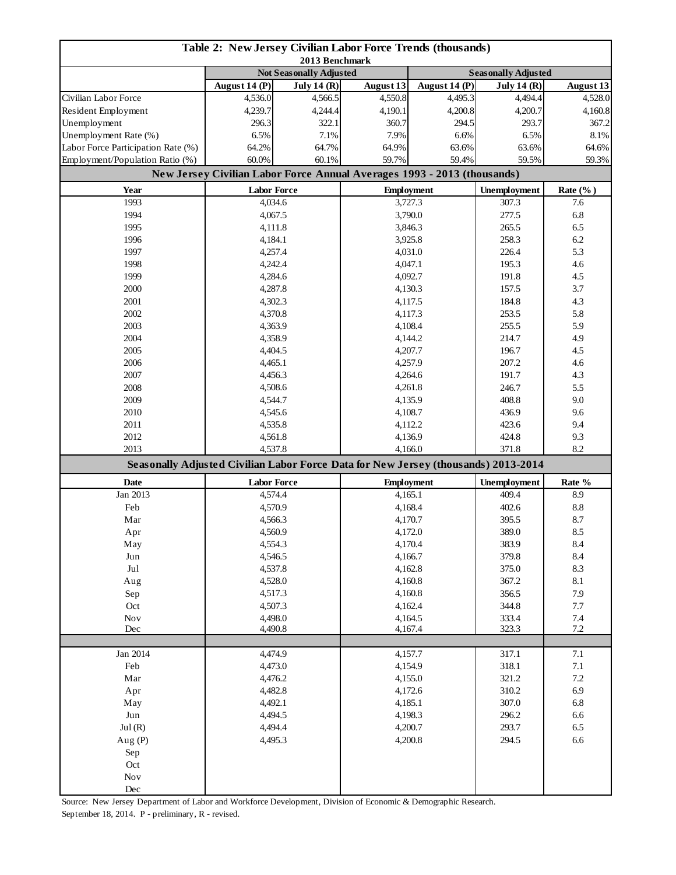| Table 2: New Jersey Civilian Labor Force Trends (thousands)<br>2013 Benchmark      |                                                                         |                    |                   |                    |                            |              |  |
|------------------------------------------------------------------------------------|-------------------------------------------------------------------------|--------------------|-------------------|--------------------|----------------------------|--------------|--|
|                                                                                    | <b>Not Seasonally Adjusted</b>                                          |                    |                   |                    | <b>Seasonally Adjusted</b> |              |  |
|                                                                                    | August 14 (P)                                                           | <b>July 14 (R)</b> | <b>August 13</b>  | August 14 (P)      | <b>July 14 (R)</b>         | August 13    |  |
| Civilian Labor Force                                                               | 4,536.0                                                                 | 4,566.5            | 4,550.8           | 4,495.3            | 4,494.4                    | 4,528.0      |  |
| Resident Employment                                                                | 4,239.7                                                                 | 4,244.4            | 4,190.1           | 4,200.8            | 4,200.7                    | 4,160.8      |  |
| Unemployment                                                                       | 296.3                                                                   | 322.1              | 360.7             | 294.5              | 293.7                      | 367.2        |  |
| Unemployment Rate (%)                                                              | 6.5%                                                                    | 7.1%               | 7.9%              | 6.6%               | 6.5%                       | 8.1%         |  |
| Labor Force Participation Rate (%)                                                 | 64.2%                                                                   | 64.7%              | 64.9%             | 63.6%              | 63.6%                      | 64.6%        |  |
| Employment/Population Ratio (%)                                                    | 60.0%                                                                   | 60.1%              | 59.7%<br>59.4%    |                    | 59.5%                      | 59.3%        |  |
|                                                                                    | New Jersey Civilian Labor Force Annual Averages 1993 - 2013 (thousands) |                    |                   |                    |                            |              |  |
| Year                                                                               | <b>Labor Force</b>                                                      |                    | <b>Employment</b> |                    | <b>Unemployment</b>        | Rate $(\%$ ) |  |
| 1993                                                                               | 4,034.6                                                                 |                    | 3,727.3           |                    | 307.3                      | 7.6          |  |
| 1994                                                                               | 4,067.5                                                                 |                    |                   | 3,790.0            |                            | 6.8          |  |
| 1995                                                                               | 4,111.8                                                                 |                    | 3,846.3           |                    | 277.5<br>265.5             | 6.5          |  |
| 1996                                                                               |                                                                         |                    | 3,925.8           |                    | 258.3                      | 6.2          |  |
| 1997                                                                               | 4,184.1<br>4,257.4                                                      |                    | 4,031.0           |                    | 226.4                      | 5.3          |  |
| 1998                                                                               | 4,242.4                                                                 |                    | 4,047.1           |                    | 195.3                      | 4.6          |  |
| 1999                                                                               | 4,284.6                                                                 |                    | 4,092.7           |                    | 191.8                      | 4.5          |  |
| 2000                                                                               | 4,287.8                                                                 |                    | 4,130.3           |                    | 157.5                      | 3.7          |  |
| 2001                                                                               | 4,302.3                                                                 |                    | 4,117.5           |                    | 184.8                      | 4.3          |  |
| 2002                                                                               | 4,370.8                                                                 |                    | 4,117.3           |                    | 253.5                      | 5.8          |  |
| 2003                                                                               | 4,363.9                                                                 |                    | 4,108.4           |                    | 255.5                      | 5.9          |  |
| 2004                                                                               | 4,358.9                                                                 |                    | 4,144.2           |                    | 214.7                      | 4.9          |  |
| 2005                                                                               | 4,404.5                                                                 |                    | 4,207.7           |                    | 196.7                      | 4.5          |  |
| 2006                                                                               | 4,465.1                                                                 |                    |                   |                    | 207.2                      | 4.6          |  |
| 2007                                                                               | 4,456.3                                                                 |                    |                   | 4,257.9<br>4,264.6 |                            | 4.3          |  |
| 2008                                                                               | 4,508.6                                                                 |                    | 4,261.8           |                    | 191.7<br>246.7             | 5.5          |  |
| 2009                                                                               | 4,544.7                                                                 |                    | 4,135.9           |                    | 408.8                      | 9.0          |  |
| 2010                                                                               | 4,545.6                                                                 |                    | 4,108.7           |                    | 436.9                      | 9.6          |  |
| 2011                                                                               | 4,535.8                                                                 |                    | 4,112.2           |                    | 423.6                      | 9.4          |  |
| 2012                                                                               | 4,561.8                                                                 |                    | 4,136.9           |                    | 424.8                      | 9.3          |  |
| 2013                                                                               | 4,537.8                                                                 |                    | 4,166.0           |                    | 371.8                      | 8.2          |  |
| Seasonally Adjusted Civilian Labor Force Data for New Jersey (thousands) 2013-2014 |                                                                         |                    |                   |                    |                            |              |  |
| <b>Date</b>                                                                        | <b>Labor Force</b>                                                      |                    | <b>Employment</b> |                    | <b>Unemployment</b>        | Rate %       |  |
| Jan 2013                                                                           | 4,574.4                                                                 |                    | 4,165.1           |                    | 409.4                      | 8.9          |  |
| Feb                                                                                | 4,570.9                                                                 |                    | 4,168.4           |                    | 402.6                      | 8.8          |  |
| Mar                                                                                | 4,566.3                                                                 |                    | 4,170.7           |                    | 395.5                      | 8.7          |  |
| Apr                                                                                | 4,560.9                                                                 |                    | 4,172.0           |                    | 389.0                      | 8.5          |  |
| May                                                                                | 4,554.3                                                                 |                    | 4,170.4           |                    | 383.9                      | 8.4          |  |
| Jun                                                                                | 4,546.5                                                                 |                    | 4,166.7           |                    | 379.8                      | 8.4          |  |
| $_{\rm{Jul}}$                                                                      | 4,537.8                                                                 |                    | 4,162.8           |                    | 375.0                      | 8.3          |  |
| Aug                                                                                | 4,528.0                                                                 |                    | 4,160.8           |                    | 367.2                      | 8.1          |  |
| Sep                                                                                | 4,517.3                                                                 |                    | 4,160.8           |                    | 356.5                      | 7.9          |  |
| Oct                                                                                | 4,507.3                                                                 |                    | 4,162.4           |                    | 344.8                      | 7.7          |  |
| <b>Nov</b>                                                                         | 4,498.0                                                                 |                    | 4,164.5           |                    | 333.4                      | 7.4          |  |
| Dec                                                                                | 4,490.8                                                                 |                    | 4,167.4           |                    | 323.3                      | $7.2\,$      |  |
|                                                                                    |                                                                         |                    |                   |                    |                            |              |  |
| Jan 2014                                                                           | 4,474.9                                                                 |                    | 4,157.7           |                    | 317.1                      | 7.1          |  |
| Feb                                                                                | 4,473.0                                                                 |                    | 4,154.9           |                    | 318.1                      | 7.1          |  |
| Mar                                                                                | 4,476.2                                                                 |                    | 4,155.0           |                    | 321.2                      | $7.2\,$      |  |
| Apr                                                                                | 4,482.8                                                                 |                    | 4,172.6           |                    | 310.2                      | 6.9          |  |
| May                                                                                | 4,492.1                                                                 |                    | 4,185.1           |                    | 307.0                      | 6.8          |  |
| Jun                                                                                | 4,494.5                                                                 |                    | 4,198.3           |                    | 296.2                      | 6.6          |  |
| Jul(R)                                                                             | 4,494.4                                                                 |                    | 4,200.7           |                    | 293.7                      | 6.5          |  |
| Aug $(P)$                                                                          | 4,495.3                                                                 |                    |                   | 4,200.8            |                            | 6.6          |  |
| Sep                                                                                |                                                                         |                    |                   |                    |                            |              |  |
| Oct                                                                                |                                                                         |                    |                   |                    |                            |              |  |
| $\operatorname{Nov}$                                                               |                                                                         |                    |                   |                    |                            |              |  |
| Dec                                                                                |                                                                         |                    |                   |                    |                            |              |  |

Source: New Jersey Department of Labor and Workforce Development, Division of Economic & Demographic Research. September 18, 2014. P - preliminary, R - revised.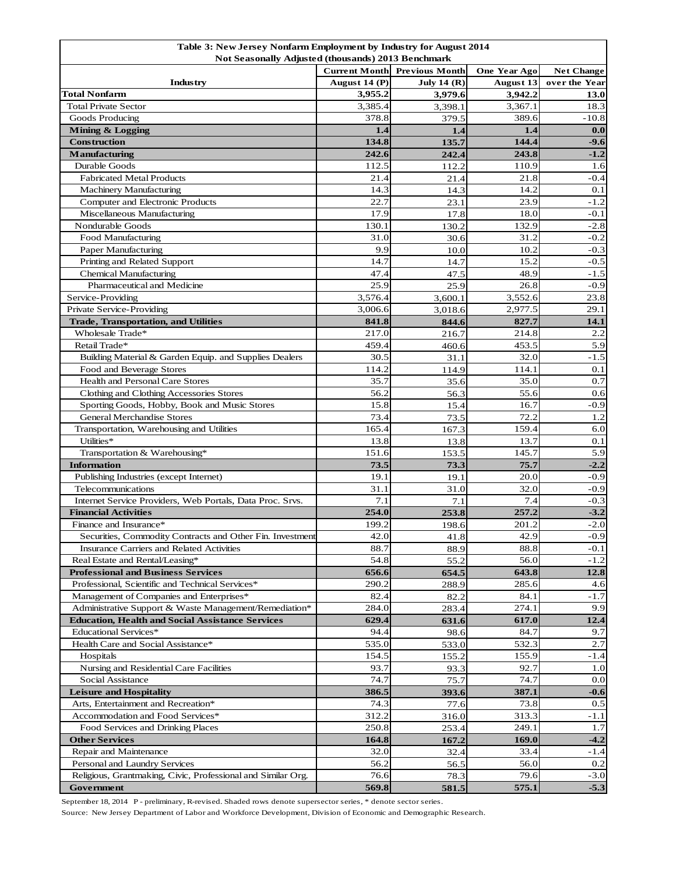| Table 3: New Jersey Nonfarm Employment by Industry for August 2014                  |                      |                       |              |                   |  |  |
|-------------------------------------------------------------------------------------|----------------------|-----------------------|--------------|-------------------|--|--|
| Not Seasonally Adjusted (thousands) 2013 Benchmark                                  |                      |                       |              |                   |  |  |
|                                                                                     | <b>Current Month</b> | <b>Previous Month</b> | One Year Ago | <b>Net Change</b> |  |  |
| Industry                                                                            | August 14 (P)        | <b>July 14 (R)</b>    | August 13    | over the Year     |  |  |
| Total Nonfarm                                                                       | 3,955.2              | 3,979.6               | 3,942.2      | <b>13.0</b>       |  |  |
| <b>Total Private Sector</b>                                                         | 3,385.4              | 3,398.1               | 3,367.1      | 18.3              |  |  |
| Goods Producing                                                                     | 378.8                | 379.5                 | 389.6        | $-10.8$           |  |  |
| Mining & Logging                                                                    | 1.4                  | 1.4                   | 1.4          | 0.0               |  |  |
| Construction                                                                        | 134.8                | 135.7                 | 144.4        | $-9.6$            |  |  |
| Manufacturing                                                                       | 242.6                | 242.4                 | 243.8        | $-1.2$            |  |  |
| Durable Goods                                                                       | 112.5                | 112.2                 | 110.9        | 1.6               |  |  |
| <b>Fabricated Metal Products</b>                                                    | 21.4                 | 21.4                  | 21.8         | $-0.4$            |  |  |
| Machinery Manufacturing                                                             | 14.3                 | 14.3                  | 14.2         | 0.1               |  |  |
| Computer and Electronic Products                                                    | 22.7                 | 23.1                  | 23.9         | $-1.2$            |  |  |
| Miscellaneous Manufacturing                                                         | 17.9                 | 17.8                  | 18.0         | -0.1              |  |  |
| Nondurable Goods                                                                    | 130.1                | 130.2                 | 132.9        | $-2.8$            |  |  |
| Food Manufacturing                                                                  | 31.0                 | 30.6                  | 31.2         | $-0.2$            |  |  |
| Paper Manufacturing                                                                 | 9.9                  | 10.0                  | 10.2         | $-0.3$            |  |  |
| Printing and Related Support                                                        | 14.7                 | 14.7                  | 15.2         | $-0.5$            |  |  |
| Chemical Manufacturing                                                              | 47.4                 | 47.5                  | 48.9         | $-1.5$            |  |  |
| Pharmaceutical and Medicine                                                         | 25.9                 | 25.9                  | 26.8         | $-0.9$            |  |  |
| Service-Providing                                                                   | 3,576.4              | 3,600.1               | 3,552.6      | 23.8              |  |  |
| Private Service-Providing                                                           | 3,006.6              | 3,018.6               | 2,977.5      | 29.1              |  |  |
| <b>Trade, Transportation, and Utilities</b>                                         | 841.8                | 844.6                 | 827.7        | 14.1              |  |  |
| Wholesale Trade*                                                                    | 217.0                | 216.7                 | 214.8        | 2.2               |  |  |
| Retail Trade*                                                                       | 459.4                | 460.6                 | 453.5        | 5.9               |  |  |
| Building Material & Garden Equip. and Supplies Dealers                              | 30.5                 | 31.1                  | 32.0         | $-1.5$            |  |  |
| Food and Beverage Stores                                                            | 114.2                | 114.9                 | 114.1        | 0.1               |  |  |
| Health and Personal Care Stores                                                     | 35.7                 | 35.6                  | 35.0         | 0.7               |  |  |
| Clothing and Clothing Accessories Stores                                            | 56.2                 | 56.3                  | 55.6         | 0.6               |  |  |
| Sporting Goods, Hobby, Book and Music Stores                                        | 15.8                 | 15.4                  | 16.7         | $-0.9$            |  |  |
| General Merchandise Stores                                                          | 73.4                 | 73.5                  | 72.2         | 1.2               |  |  |
| Transportation, Warehousing and Utilities                                           | 165.4                | 167.3                 | 159.4        | 6.0               |  |  |
| Utilities*                                                                          | 13.8                 | 13.8                  | 13.7         | 0.1               |  |  |
| Transportation & Warehousing*                                                       | 151.6                | 153.5                 | 145.7        | 5.9               |  |  |
| <b>Information</b>                                                                  | 73.5                 | 73.3                  | 75.7         | $-2.2$            |  |  |
| Publishing Industries (except Internet)                                             | 19.1                 | 19.1                  | 20.0         | $-0.9$            |  |  |
| Telecommunications                                                                  | 31.1                 | 31.0                  | 32.0         | $-0.9$            |  |  |
| Internet Service Providers, Web Portals, Data Proc. Srvs.                           | 7.1                  | 7.1                   | 7.4          | $-0.3$            |  |  |
| <b>Financial Activities</b>                                                         | 254.0                |                       | 257.2        | $-3.2$            |  |  |
|                                                                                     | 199.2                | 253.8                 | 201.2        | $-2.0$            |  |  |
| Finance and Insurance*<br>Securities, Commodity Contracts and Other Fin. Investment | 42.0                 | 198.6<br>41.8         | 42.9         | $-0.9$            |  |  |
|                                                                                     | 88.7                 |                       | 88.8         | $-0.1$            |  |  |
| Insurance Carriers and Related Activities                                           |                      | 88.9                  |              |                   |  |  |
| Real Estate and Rental/Leasing*<br><b>Professional and Business Services</b>        | 54.8                 | 55.2                  | 56.0         | $-1.2$            |  |  |
|                                                                                     | 656.6                | 654.5                 | 643.8        | 12.8              |  |  |
| Professional, Scientific and Technical Services*                                    | 290.2                | 288.9                 | 285.6        | 4.6               |  |  |
| Management of Companies and Enterprises*                                            | 82.4                 | 82.2                  | 84.1         | $-1.7$            |  |  |
| Administrative Support & Waste Management/Remediation*                              | 284.0                | 283.4                 | 274.1        | 9.9               |  |  |
| <b>Education, Health and Social Assistance Services</b>                             | 629.4                | 631.6                 | 617.0        | 12.4              |  |  |
| Educational Services*                                                               | 94.4                 | 98.6                  | 84.7         | 9.7               |  |  |
| Health Care and Social Assistance*                                                  | 535.0                | 533.0                 | 532.3        | 2.7               |  |  |
| Hospitals                                                                           | 154.5                | 155.2                 | 155.9        | $-1.4$            |  |  |
| Nursing and Residential Care Facilities                                             | 93.7                 | 93.3                  | 92.7         | 1.0               |  |  |
| Social Assistance                                                                   | 74.7                 | 75.7                  | 74.7         | 0.0               |  |  |
| <b>Leisure and Hospitality</b>                                                      | 386.5                | 393.6                 | 387.1        | $-0.6$            |  |  |
| Arts, Entertainment and Recreation*                                                 | 74.3                 | 77.6                  | 73.8         | 0.5               |  |  |
| Accommodation and Food Services*                                                    | 312.2                | 316.0                 | 313.3        | $-1.1$            |  |  |
| Food Services and Drinking Places                                                   | 250.8                | 253.4                 | 249.1        | 1.7               |  |  |
| <b>Other Services</b>                                                               | 164.8                | 167.2                 | 169.0        | $-4.2$            |  |  |
| Repair and Maintenance                                                              | 32.0                 | 32.4                  | 33.4         | $-1.4$            |  |  |
| Personal and Laundry Services                                                       | 56.2                 | 56.5                  | 56.0         | 0.2               |  |  |
| Religious, Grantmaking, Civic, Professional and Similar Org.                        | 76.6                 | 78.3                  | 79.6         | $-3.0$            |  |  |
| Government                                                                          | 569.8                | 581.5                 | 575.1        | $-5.3$            |  |  |

September 18, 2014 P - preliminary, R-revised. Shaded rows denote supersector series, \* denote sector series.

Source: New Jersey Department of Labor and Workforce Development, Division of Economic and Demographic Research.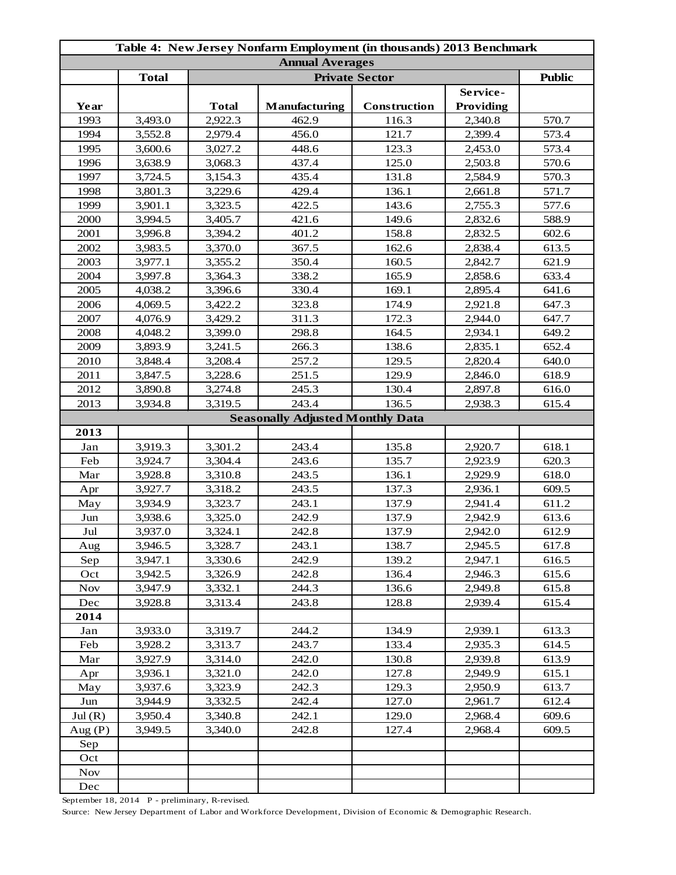| Table 4: New Jersey Nonfarm Employment (in thousands) 2013 Benchmark |              |              |                                         |              |                  |       |  |
|----------------------------------------------------------------------|--------------|--------------|-----------------------------------------|--------------|------------------|-------|--|
| <b>Annual Averages</b>                                               |              |              |                                         |              |                  |       |  |
|                                                                      | <b>Total</b> |              | <b>Public</b>                           |              |                  |       |  |
|                                                                      |              |              |                                         |              | Service-         |       |  |
| Year                                                                 |              | <b>Total</b> | <b>Manufacturing</b>                    | Construction | <b>Providing</b> |       |  |
| 1993                                                                 | 3,493.0      | 2,922.3      | 462.9                                   | 116.3        | 2,340.8          | 570.7 |  |
| 1994                                                                 | 3,552.8      | 2,979.4      | 456.0                                   | 121.7        | 2,399.4          | 573.4 |  |
| 1995                                                                 | 3,600.6      | 3,027.2      | 448.6                                   | 123.3        | 2,453.0          | 573.4 |  |
| 1996                                                                 | 3,638.9      | 3,068.3      | 437.4                                   | 125.0        | 2,503.8          | 570.6 |  |
| 1997                                                                 | 3,724.5      | 3,154.3      | 435.4                                   | 131.8        | 2,584.9          | 570.3 |  |
| 1998                                                                 | 3,801.3      | 3,229.6      | 429.4                                   | 136.1        | 2,661.8          | 571.7 |  |
| 1999                                                                 | 3,901.1      | 3,323.5      | 422.5                                   | 143.6        | 2,755.3          | 577.6 |  |
| 2000                                                                 | 3,994.5      | 3,405.7      | 421.6                                   | 149.6        | 2,832.6          | 588.9 |  |
| 2001                                                                 | 3,996.8      | 3,394.2      | 401.2                                   | 158.8        | 2,832.5          | 602.6 |  |
| 2002                                                                 | 3,983.5      | 3,370.0      | 367.5                                   | 162.6        | 2,838.4          | 613.5 |  |
| 2003                                                                 | 3,977.1      | 3,355.2      | 350.4                                   | 160.5        | 2,842.7          | 621.9 |  |
| 2004                                                                 | 3,997.8      | 3,364.3      | 338.2                                   | 165.9        | 2,858.6          | 633.4 |  |
| 2005                                                                 | 4,038.2      | 3,396.6      | 330.4                                   | 169.1        | 2,895.4          | 641.6 |  |
| 2006                                                                 | 4,069.5      | 3,422.2      | 323.8                                   | 174.9        | 2,921.8          | 647.3 |  |
| 2007                                                                 | 4,076.9      | 3,429.2      | 311.3                                   | 172.3        | 2,944.0          | 647.7 |  |
| 2008                                                                 | 4,048.2      | 3,399.0      | 298.8                                   | 164.5        | 2,934.1          | 649.2 |  |
| 2009                                                                 | 3,893.9      | 3,241.5      | 266.3                                   | 138.6        | 2,835.1          | 652.4 |  |
| 2010                                                                 | 3,848.4      | 3,208.4      | 257.2                                   | 129.5        | 2,820.4          | 640.0 |  |
| 2011                                                                 | 3,847.5      | 3,228.6      | 251.5                                   | 129.9        | 2,846.0          | 618.9 |  |
| 2012                                                                 | 3,890.8      | 3,274.8      | 245.3                                   | 130.4        | 2,897.8          | 616.0 |  |
| 2013                                                                 | 3,934.8      | 3,319.5      | 243.4                                   | 136.5        | 2,938.3          | 615.4 |  |
|                                                                      |              |              | <b>Seasonally Adjusted Monthly Data</b> |              |                  |       |  |
| 2013                                                                 |              |              |                                         |              |                  |       |  |
| Jan                                                                  | 3,919.3      | 3,301.2      | 243.4                                   | 135.8        | 2,920.7          | 618.1 |  |
| Feb                                                                  | 3,924.7      | 3,304.4      | 243.6                                   | 135.7        | 2,923.9          | 620.3 |  |
| Mar                                                                  | 3,928.8      | 3,310.8      | 243.5                                   | 136.1        | 2,929.9          | 618.0 |  |
| Apr                                                                  | 3,927.7      | 3,318.2      | 243.5                                   | 137.3        | 2,936.1          | 609.5 |  |
| May                                                                  | 3,934.9      | 3,323.7      | 243.1                                   | 137.9        | 2,941.4          | 611.2 |  |
| Jun                                                                  | 3,938.6      | 3,325.0      | 242.9                                   | 137.9        | 2,942.9          | 613.6 |  |
| Jul                                                                  | 3,937.0      | 3,324.1      | 242.8                                   | 137.9        | 2,942.0          | 612.9 |  |
| Aug                                                                  | 3,946.5      | 3,328.7      | 243.1                                   | 138.7        | 2,945.5          | 617.8 |  |
| Sep                                                                  | 3,947.1      | 3,330.6      | 242.9                                   | 139.2        | 2,947.1          | 616.5 |  |
| Oct                                                                  | 3,942.5      | 3,326.9      | 242.8                                   | 136.4        | 2,946.3          | 615.6 |  |
| <b>Nov</b>                                                           | 3,947.9      | 3,332.1      | 244.3                                   | 136.6        | 2,949.8          | 615.8 |  |
| Dec                                                                  | 3,928.8      | 3,313.4      | 243.8                                   | 128.8        | 2,939.4          | 615.4 |  |
| 2014                                                                 |              |              |                                         |              |                  |       |  |
| Jan                                                                  | 3,933.0      | 3,319.7      | 244.2                                   | 134.9        | 2,939.1          | 613.3 |  |
| Feb                                                                  | 3,928.2      | 3,313.7      | 243.7                                   | 133.4        | 2,935.3          | 614.5 |  |
| Mar                                                                  | 3,927.9      | 3,314.0      | 242.0                                   | 130.8        | 2,939.8          | 613.9 |  |
| Apr                                                                  | 3,936.1      | 3,321.0      | 242.0                                   | 127.8        | 2,949.9          | 615.1 |  |
| May                                                                  | 3,937.6      | 3,323.9      | 242.3                                   | 129.3        | 2,950.9          | 613.7 |  |
| Jun                                                                  | 3,944.9      | 3,332.5      | 242.4                                   | 127.0        | 2,961.7          | 612.4 |  |
| Jul(R)                                                               | 3,950.4      | 3,340.8      | 242.1                                   | 129.0        | 2,968.4          | 609.6 |  |
| Aug $(P)$                                                            | 3,949.5      | 3,340.0      | 242.8                                   | 127.4        | 2,968.4          | 609.5 |  |
| Sep                                                                  |              |              |                                         |              |                  |       |  |
| Oct                                                                  |              |              |                                         |              |                  |       |  |
| <b>Nov</b>                                                           |              |              |                                         |              |                  |       |  |
| Dec                                                                  |              |              |                                         |              |                  |       |  |

September 18, 2014 P - preliminary, R-revised.

Source: New Jersey Department of Labor and Workforce Development, Division of Economic & Demographic Research.